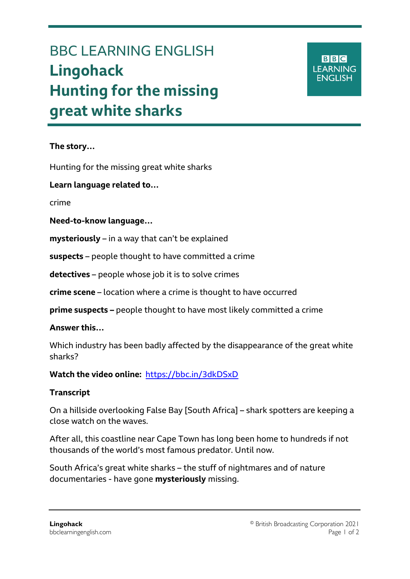# BBC LEARNING ENGLISH **Lingohack Hunting for the missing great white sharks**

## **BBC LEARNING ENGLISH**

### **The story…**

Hunting for the missing great white sharks

#### **Learn language related to…**

crime

Ξ

#### **Need-to-know language…**

**mysteriously** – in a way that can't be explained

**suspects** – people thought to have committed a crime

**detectives** – people whose job it is to solve crimes

**crime scene** – location where a crime is thought to have occurred

**prime suspects –** people thought to have most likely committed a crime

#### **Answer this…**

Which industry has been badly affected by the disappearance of the great white sharks?

#### **Watch the video online:** <https://bbc.in/3dkDSxD>

#### **Transcript**

On a hillside overlooking False Bay [South Africa] – shark spotters are keeping a close watch on the waves.

After all, this coastline near Cape Town has long been home to hundreds if not thousands of the world's most famous predator. Until now.

South Africa's great white sharks – the stuff of nightmares and of nature documentaries - have gone **mysteriously** missing.